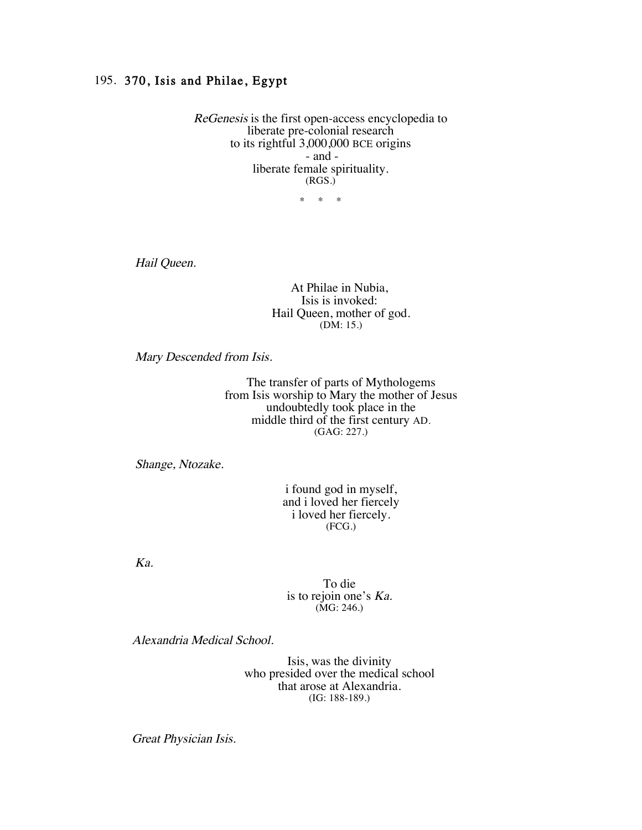## 195. 370, Isis and Philae, Egypt

ReGenesis is the first open-access encyclopedia to liberate pre-colonial research to its rightful 3,000,000 BCE origins - and liberate female spirituality. (RGS.)

\* \* \*

Hail Queen.

At Philae in Nubia,<br>Isis is invoked: Hail Queen, mother of god. (DM: 15.)

Mary Descended from Isis.

The transfer of parts of Mythologems from Isis worship to Mary the mother of Jesus undoubtedly took place in the middle third of the first century AD. (GAG: 227.)

Shange, Ntozake.

i found god in myself, and i loved her fiercely i loved her fiercely. (FCG.)

Ka.

To die is to rejoin one's Ka. (MG: 246.)

Alexandria Medical School.

Isis, was the divinity who presided over the medical school that arose at Alexandria. (IG: 188-189.)

Great Physician Isis.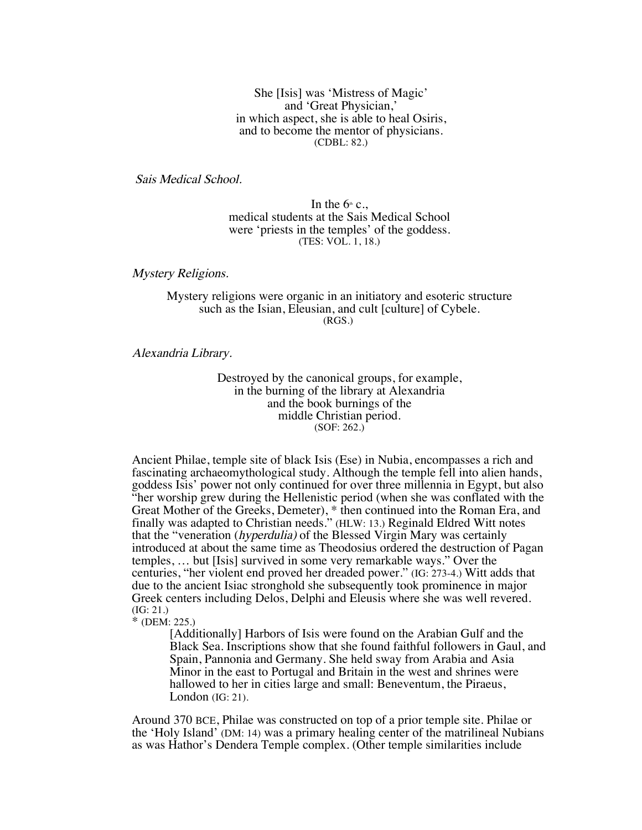She [Isis] was 'Mistress of Magic' and 'Great Physician,' in which aspect, she is able to heal Osiris, and to become the mentor of physicians. (CDBL: 82.)

Sais Medical School.

In the  $6<sup>th</sup>$  c., medical students at the Sais Medical School were 'priests in the temples' of the goddess. (TES: VOL. 1, 18.)

Mystery Religions.

## Mystery religions were organic in an initiatory and esoteric structure such as the Isian, Eleusian, and cult [culture] of Cybele. (RGS.)

Alexandria Library.

Destroyed by the canonical groups, for example, in the burning of the library at Alexandria and the book burnings of the middle Christian period. (SOF: 262.)

Ancient Philae, temple site of black Isis (Ese) in Nubia, encompasses a rich and fascinating archaeomythological study. Although the temple fell into alien hands, goddess Isis' power not only continued for over three millennia in Egypt, but also "her worship grew during the Hellenistic period (when she was conflated with the Great Mother of the Greeks, Demeter), \* then continued into the Roman Era, and finally was adapted to Christian needs." (HLW: 13.) Reginald Eldred Witt notes that the "veneration (hyperdulia) of the Blessed Virgin Mary was certainly introduced at about the same time as Theodosius ordered the destruction of Pagan temples, … but [Isis] survived in some very remarkable ways." Over the centuries, "her violent end proved her dreaded power." (IG: 273-4.) Witt adds that due to the ancient Isiac stronghold she subsequently took prominence in major Greek centers including Delos, Delphi and Eleusis where she was well revered. (IG: 21.)

\* (DEM: 225.)

[Additionally] Harbors of Isis were found on the Arabian Gulf and the Black Sea. Inscriptions show that she found faithful followers in Gaul, and Spain, Pannonia and Germany. She held sway from Arabia and Asia Minor in the east to Portugal and Britain in the west and shrines were hallowed to her in cities large and small: Beneventum, the Piraeus, London (IG: 21).

Around 370 BCE, Philae was constructed on top of a prior temple site. Philae or the 'Holy Island' (DM: 14) was a primary healing center of the matrilineal Nubians as was Hathor's Dendera Temple complex. (Other temple similarities include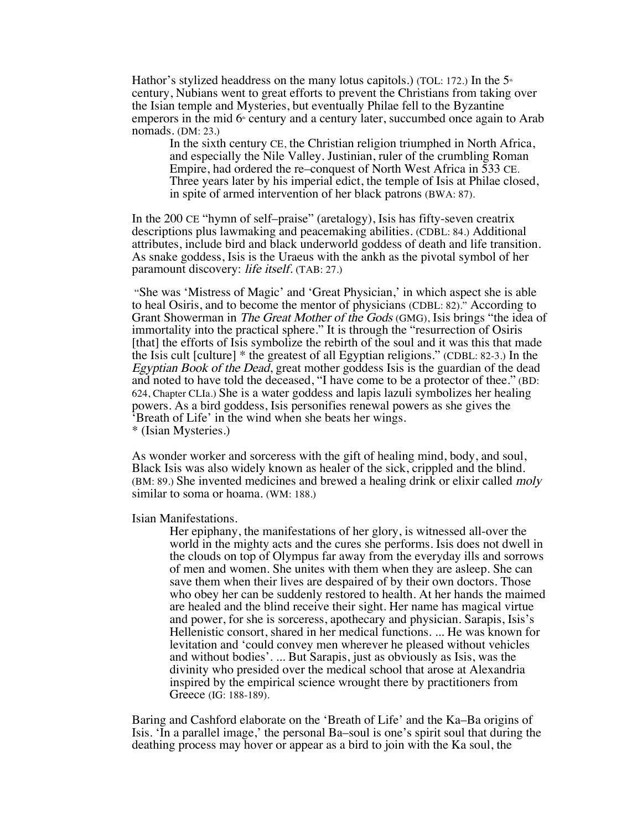Hathor's stylized headdress on the many lotus capitols.) (TOL: 172.) In the  $5<sup>*</sup>$ century, Nubians went to great efforts to prevent the Christians from taking over the Isian temple and Mysteries, but eventually Philae fell to the Byzantine emperors in the mid  $6<sup>*</sup>$  century and a century later, succumbed once again to Arab nomads. (DM: 23.)

In the sixth century CE, the Christian religion triumphed in North Africa, and especially the Nile Valley. Justinian, ruler of the crumbling Roman Empire, had ordered the re–conquest of North West Africa in 533 CE. Three years later by his imperial edict, the temple of Isis at Philae closed, in spite of armed intervention of her black patrons (BWA: 87).

In the 200 CE "hymn of self–praise" (aretalogy), Isis has fifty-seven creatrix descriptions plus lawmaking and peacemaking abilities. (CDBL: 84.) Additional attributes, include bird and black underworld goddess of death and life transition. As snake goddess, Isis is the Uraeus with the ankh as the pivotal symbol of her paramount discovery: life itself. (TAB: 27.)

"She was 'Mistress of Magic' and 'Great Physician,' in which aspect she is able to heal Osiris, and to become the mentor of physicians (CDBL: 82)." According to Grant Showerman in The Great Mother of the Gods (GMG), Isis brings "the idea of immortality into the practical sphere." It is through the "resurrection of Osiris [that] the efforts of Isis symbolize the rebirth of the soul and it was this that made the Isis cult [culture] \* the greatest of all Egyptian religions." (CDBL: 82-3.) In the Egyptian Book of the Dead, great mother goddess Isis is the guardian of the dead and noted to have told the deceased, "I have come to be a protector of thee." (BD: 624, Chapter CLIa.) She is a water goddess and lapis lazuli symbolizes her healing powers. As a bird goddess, Isis personifies renewal powers as she gives the 'Breath of Life' in the wind when she beats her wings. \* (Isian Mysteries.)

As wonder worker and sorceress with the gift of healing mind, body, and soul, Black Isis was also widely known as healer of the sick, crippled and the blind. (BM: 89.) She invented medicines and brewed a healing drink or elixir called moly similar to soma or hoama. (WM: 188.)

Isian Manifestations.

Her epiphany, the manifestations of her glory, is witnessed all-over the world in the mighty acts and the cures she performs. Isis does not dwell in the clouds on top of Olympus far away from the everyday ills and sorrows of men and women. She unites with them when they are asleep. She can save them when their lives are despaired of by their own doctors. Those who obey her can be suddenly restored to health. At her hands the maimed are healed and the blind receive their sight. Her name has magical virtue and power, for she is sorceress, apothecary and physician. Sarapis, Isis's Hellenistic consort, shared in her medical functions. ... He was known for levitation and 'could convey men wherever he pleased without vehicles and without bodies'. ... But Sarapis, just as obviously as Isis, was the divinity who presided over the medical school that arose at Alexandria inspired by the empirical science wrought there by practitioners from Greece (IG: 188-189).

Baring and Cashford elaborate on the 'Breath of Life' and the Ka–Ba origins of Isis. 'In a parallel image,' the personal Ba–soul is one's spirit soul that during the deathing process may hover or appear as a bird to join with the Ka soul, the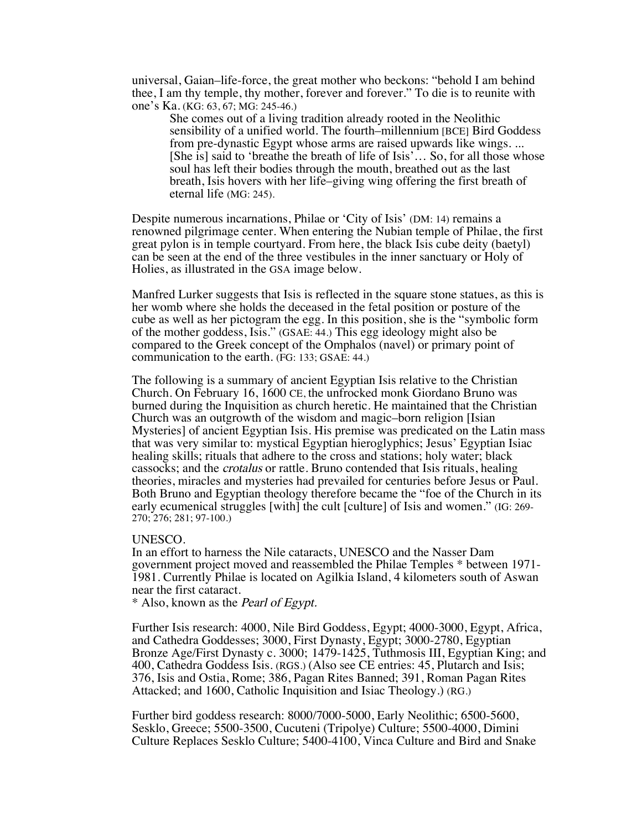universal, Gaian–life-force, the great mother who beckons: "behold I am behind thee, I am thy temple, thy mother, forever and forever." To die is to reunite with one's Ka. (KG: 63, 67; MG: 245-46.)

She comes out of a living tradition already rooted in the Neolithic sensibility of a unified world. The fourth–millennium [BCE] Bird Goddess from pre-dynastic Egypt whose arms are raised upwards like wings. ... [She is] said to 'breathe the breath of life of Isis'… So, for all those whose soul has left their bodies through the mouth, breathed out as the last breath, Isis hovers with her life–giving wing offering the first breath of eternal life (MG: 245).

Despite numerous incarnations, Philae or 'City of Isis' (DM: 14) remains a renowned pilgrimage center. When entering the Nubian temple of Philae, the first great pylon is in temple courtyard. From here, the black Isis cube deity (baetyl) can be seen at the end of the three vestibules in the inner sanctuary or Holy of Holies, as illustrated in the GSA image below.

Manfred Lurker suggests that Isis is reflected in the square stone statues, as this is her womb where she holds the deceased in the fetal position or posture of the cube as well as her pictogram the egg. In this position, she is the "symbolic form of the mother goddess, Isis." (GSAE: 44.) This egg ideology might also be compared to the Greek concept of the Omphalos (navel) or primary point of communication to the earth. (FG: 133; GSAE: 44.)

The following is a summary of ancient Egyptian Isis relative to the Christian Church. On February 16, 1600 CE, the unfrocked monk Giordano Bruno was burned during the Inquisition as church heretic. He maintained that the Christian Church was an outgrowth of the wisdom and magic–born religion [Isian Mysteries] of ancient Egyptian Isis. His premise was predicated on the Latin mass that was very similar to: mystical Egyptian hieroglyphics; Jesus' Egyptian Isiac healing skills; rituals that adhere to the cross and stations; holy water; black cassocks; and the crotalus or rattle. Bruno contended that Isis rituals, healing theories, miracles and mysteries had prevailed for centuries before Jesus or Paul. Both Bruno and Egyptian theology therefore became the "foe of the Church in its early ecumenical struggles [with] the cult [culture] of Isis and women." (IG: 269- 270; 276; 281; 97-100.)

## UNESCO.

In an effort to harness the Nile cataracts, UNESCO and the Nasser Dam government project moved and reassembled the Philae Temples \* between 1971- 1981. Currently Philae is located on Agilkia Island, 4 kilometers south of Aswan near the first cataract.

\* Also, known as the Pearl of Egypt.

Further Isis research: 4000, Nile Bird Goddess, Egypt; 4000-3000, Egypt, Africa, and Cathedra Goddesses; 3000, First Dynasty, Egypt; 3000-2780, Egyptian Bronze Age/First Dynasty c. 3000; 1479-1425, Tuthmosis III, Egyptian King; and 400, Cathedra Goddess Isis. (RGS.) (Also see CE entries: 45, Plutarch and Isis; 376, Isis and Ostia, Rome; 386, Pagan Rites Banned; 391, Roman Pagan Rites Attacked; and 1600, Catholic Inquisition and Isiac Theology.) (RG.)

Further bird goddess research: 8000/7000-5000, Early Neolithic; 6500-5600, Sesklo, Greece; 5500-3500, Cucuteni (Tripolye) Culture; 5500-4000, Dimini Culture Replaces Sesklo Culture; 5400-4100, Vinca Culture and Bird and Snake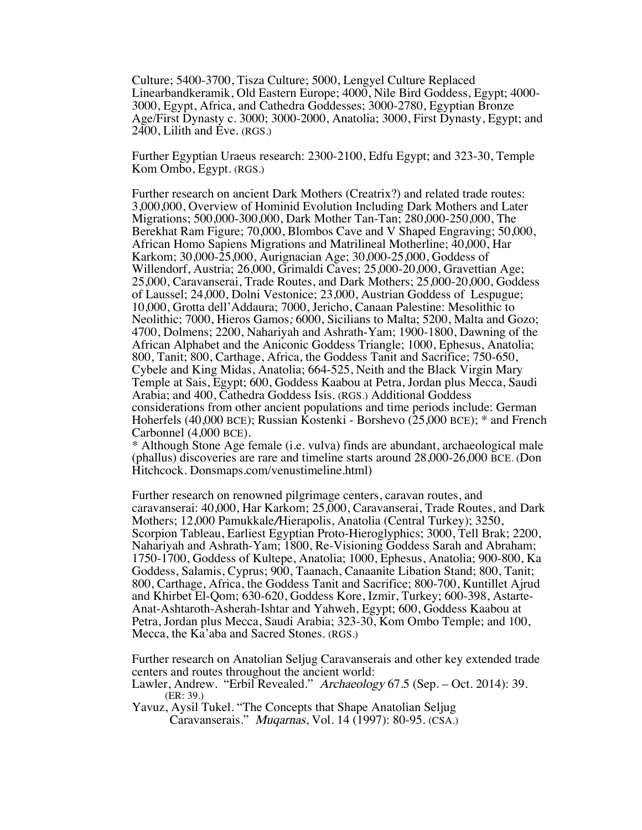Culture; 5400-3700, Tisza Culture; 5000, Lengyel Culture Replaced Linearbandkeramik, Old Eastern Europe; 4000, Nile Bird Goddess, Egypt; 4000- 3000, Egypt, Africa, and Cathedra Goddesses; 3000-2780, Egyptian Bronze Age/First Dynasty c. 3000; 3000-2000, Anatolia; 3000, First Dynasty, Egypt; and 2400, Lilith and Eve. (RGS.)

Further Egyptian Uraeus research: 2300-2100, Edfu Egypt; and 323-30, Temple Kom Ombo, Egypt. (RGS.)

Further research on ancient Dark Mothers (Creatrix?) and related trade routes: 3,000,000, Overview of Hominid Evolution Including Dark Mothers and Later Migrations; 500,000-300,000, Dark Mother Tan-Tan; 280,000-250,000, The Berekhat Ram Figure; 70,000, Blombos Cave and V Shaped Engraving; 50,000, African Homo Sapiens Migrations and Matrilineal Motherline; 40,000, Har Karkom; 30,000-25,000, Aurignacian Age; 30,000-25,000, Goddess of Willendorf, Austria; 26,000, Grimaldi Caves; 25,000-20,000, Gravettian Age; 25,000, Caravanserai, Trade Routes, and Dark Mothers; 25,000-20,000, Goddess of Laussel; 24,000, Dolni Vestonice; 23,000, Austrian Goddess of Lespugue; 10,000, Grotta dell'Addaura; 7000, Jericho, Canaan Palestine: Mesolithic to Neolithic; 7000, Hieros Gamos; 6000, Sicilians to Malta; 5200, Malta and Gozo; 4700, Dolmens; 2200, Nahariyah and Ashrath-Yam; 1900-1800, Dawning of the African Alphabet and the Aniconic Goddess Triangle; 1000, Ephesus, Anatolia; 800, Tanit; 800, Carthage, Africa, the Goddess Tanit and Sacrifice; 750-650, Cybele and King Midas, Anatolia; 664-525, Neith and the Black Virgin Mary Temple at Sais, Egypt; 600, Goddess Kaabou at Petra, Jordan plus Mecca, Saudi Arabia; and 400, Cathedra Goddess Isis. (RGS.) Additional Goddess considerations from other ancient populations and time periods include: German Hoherfels (40,000 BCE); Russian Kostenki - Borshevo (25,000 BCE); \* and French Carbonnel (4,000 BCE).

\* Although Stone Age female (i.e. vulva) finds are abundant, archaeological male (phallus) discoveries are rare and timeline starts around 28,000-26,000 BCE. (Don Hitchcock. Donsmaps.com/venustimeline.html)

Further research on renowned pilgrimage centers, caravan routes, and caravanserai: 40,000, Har Karkom; 25,000, Caravanserai, Trade Routes, and Dark Mothers; 12,000 Pamukkale/Hierapolis, Anatolia (Central Turkey); 3250, Scorpion Tableau, Earliest Egyptian Proto-Hieroglyphics; 3000, Tell Brak; 2200, Nahariyah and Ashrath-Yam; 1800, Re-Visioning Goddess Sarah and Abraham; 1750-1700, Goddess of Kultepe, Anatolia; 1000, Ephesus, Anatolia; 900-800, Ka Goddess, Salamis, Cyprus; 900, Taanach, Canaanite Libation Stand; 800, Tanit; 800, Carthage, Africa, the Goddess Tanit and Sacrifice; 800-700, Kuntillet Ajrud Anat-Ashtaroth-Asherah-Ishtar and Yahweh, Egypt; 600, Goddess Kaabou at Petra, Jordan plus Mecca, Saudi Arabia; 323-30, Kom Ombo Temple; and 100, Mecca, the Ka'aba and Sacred Stones. (RGS.)

Further research on Anatolian Seljug Caravanserais and other key extended trade centers and routes throughout the ancient world: Lawler, Andrew. "Erbil Revealed." Archaeology 67.5 (Sep. – Oct. 2014): 39.

```
(ER: 39.)
```
Yavuz, Aysil Tukel. "The Concepts that Shape Anatolian Seljug Caravanserais." Muqarnas, Vol. 14 (1997): 80-95. (CSA.)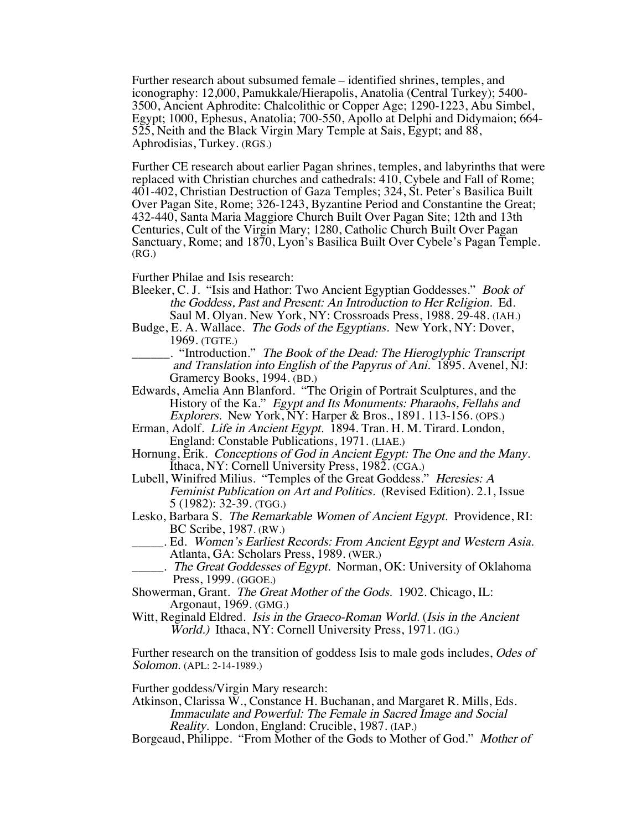Further research about subsumed female – identified shrines, temples, and iconography: 12,000, Pamukkale/Hierapolis, Anatolia (Central Turkey); 5400- 3500, Ancient Aphrodite: Chalcolithic or Copper Age; 1290-1223, Abu Simbel, Egypt; 1000, Ephesus, Anatolia; 700-550, Apollo at Delphi and Didymaion; 664- 525, Neith and the Black Virgin Mary Temple at Sais, Egypt; and 88, Aphrodisias, Turkey. (RGS.)

Further CE research about earlier Pagan shrines, temples, and labyrinths that were replaced with Christian churches and cathedrals: 410, Cybele and Fall of Rome; 401-402, Christian Destruction of Gaza Temples; 324, St. Peter's Basilica Built Over Pagan Site, Rome; 326-1243, Byzantine Period and Constantine the Great; 432-440, Santa Maria Maggiore Church Built Over Pagan Site; 12th and 13th Centuries, Cult of the Virgin Mary; 1280, Catholic Church Built Over Pagan Sanctuary, Rome; and 1870, Lyon's Basilica Built Over Cybele's Pagan Temple.  $(RG)$ 

Further Philae and Isis research:

- Bleeker, C. J. "Isis and Hathor: Two Ancient Egyptian Goddesses." Book of the Goddess, Past and Present: An Introduction to Her Religion. Ed. Saul M. Olyan. New York, NY: Crossroads Press, 1988. 29-48. (IAH.)
- Budge, E. A. Wallace. The Gods of the Egyptians. New York, NY: Dover, 1969. (TGTE.)
	- \_\_\_\_\_\_. "Introduction." The Book of the Dead: The Hieroglyphic Transcript and Translation into English of the Papyrus of Ani. 1895. Avenel, NJ: Gramercy Books, 1994. (BD.)
- Edwards, Amelia Ann Blanford. "The Origin of Portrait Sculptures, and the History of the Ka." Egypt and Its Monuments: Pharaohs, Fellahs and Explorers. New York, NY: Harper & Bros., 1891. 113-156. (OPS.)
- Erman, Adolf. Life in Ancient Egypt. 1894. Tran. H. M. Tirard. London, England: Constable Publications, 1971. (LIAE.)
- Hornung, Erik. Conceptions of God in Ancient Egypt: The One and the Many. Ithaca, NY: Cornell University Press, 1982. (CGA.)
- Lubell, Winifred Milius. "Temples of the Great Goddess." Heresies: A Feminist Publication on Art and Politics. (Revised Edition). 2.1, Issue 5 (1982): 32-39. (TGG.)
- Lesko, Barbara S. The Remarkable Women of Ancient Egypt. Providence, RI: BC Scribe, 1987. (RW.)
	- . Ed. Women's Earliest Records: From Ancient Egypt and Western Asia. Atlanta, GA: Scholars Press, 1989. (WER.)

\_\_\_\_\_. The Great Goddesses of Egypt. Norman, OK: University of Oklahoma Press, 1999. (GGOE.)

Showerman, Grant. The Great Mother of the Gods. 1902. Chicago, IL: Argonaut, 1969. (GMG.)

Witt, Reginald Eldred. Isis in the Graeco-Roman World. (Isis in the Ancient World.) Ithaca, NY: Cornell University Press, 1971. (IG.)

Further research on the transition of goddess Isis to male gods includes, *Odes of* Solomon. (APL: 2-14-1989.)

Further goddess/Virgin Mary research:

- Atkinson, Clarissa W., Constance H. Buchanan, and Margaret R. Mills, Eds. Immaculate and Powerful: The Female in Sacred Image and Social Reality. London, England: Crucible, 1987. (IAP.)
- Borgeaud, Philippe. "From Mother of the Gods to Mother of God." Mother of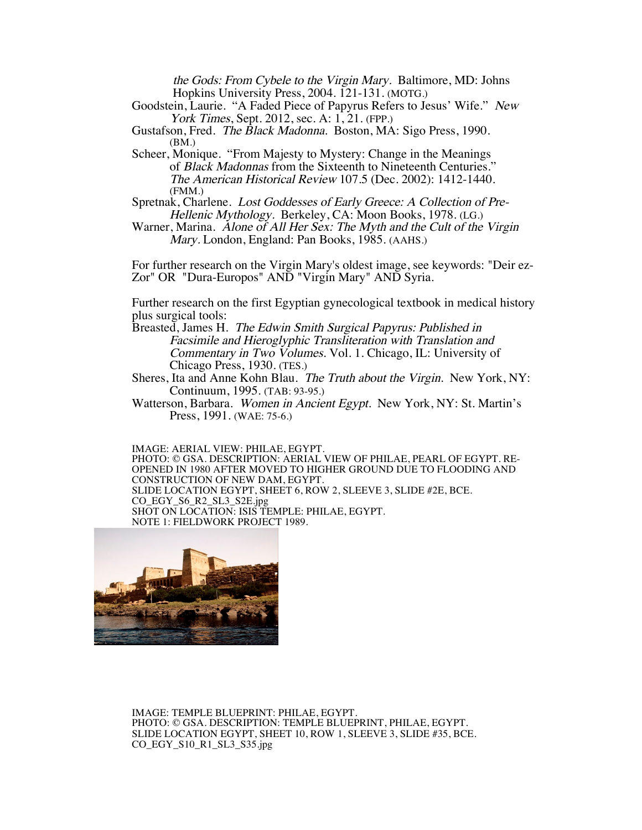the Gods: From Cybele to the Virgin Mary. Baltimore, MD: Johns Hopkins University Press, 2004. 121-131. (MOTG.)

Goodstein, Laurie. "A Faded Piece of Papyrus Refers to Jesus' Wife." New York Times, Sept. 2012, sec. A: 1, 21. (FPP.)

Gustafson, Fred. The Black Madonna. Boston, MA: Sigo Press, 1990. (BM.)

- Scheer, Monique. "From Majesty to Mystery: Change in the Meanings of Black Madonnas from the Sixteenth to Nineteenth Centuries." The American Historical Review 107.5 (Dec. 2002): 1412-1440. (FMM.)
- Spretnak, Charlene. Lost Goddesses of Early Greece: A Collection of Pre-Hellenic Mythology. Berkeley, CA: Moon Books, 1978. (LG.)
- Warner, Marina. Alone of All Her Sex: The Myth and the Cult of the Virgin Mary. London, England: Pan Books, 1985. (AAHS.)

For further research on the Virgin Mary's oldest image, see keywords: "Deir ez-Zor" OR "Dura-Europos" AND "Virgin Mary" AND Syria.

Further research on the first Egyptian gynecological textbook in medical history plus surgical tools:

- Breasted, James H. The Edwin Smith Surgical Papyrus: Published in Facsimile and Hieroglyphic Transliteration with Translation and Commentary in Two Volumes. Vol. 1. Chicago, IL: University of Chicago Press, 1930. (TES.)
- Sheres, Ita and Anne Kohn Blau. The Truth about the Virgin. New York, NY: Continuum, 1995. (TAB: 93-95.)
- Watterson, Barbara. Women in Ancient Egypt. New York, NY: St. Martin's Press, 1991. (WAE: 75-6.)

IMAGE: AERIAL VIEW: PHILAE, EGYPT. PHOTO: © GSA. DESCRIPTION: AERIAL VIEW OF PHILAE, PEARL OF EGYPT. RE-OPENED IN 1980 AFTER MOVED TO HIGHER GROUND DUE TO FLOODING AND CONSTRUCTION OF NEW DAM, EGYPT. SLIDE LOCATION EGYPT, SHEET 6, ROW 2, SLEEVE 3, SLIDE #2E, BCE. CO\_EGY\_S6\_R2\_SL3\_S2E.jpg SHOT ON LOCATION: ISIS TEMPLE: PHILAE, EGYPT. NOTE 1: FIELDWORK PROJECT 1989.



IMAGE: TEMPLE BLUEPRINT: PHILAE, EGYPT. PHOTO: © GSA. DESCRIPTION: TEMPLE BLUEPRINT, PHILAE, EGYPT. SLIDE LOCATION EGYPT, SHEET 10, ROW 1, SLEEVE 3, SLIDE #35, BCE. CO\_EGY\_S10\_R1\_SL3\_S35.jpg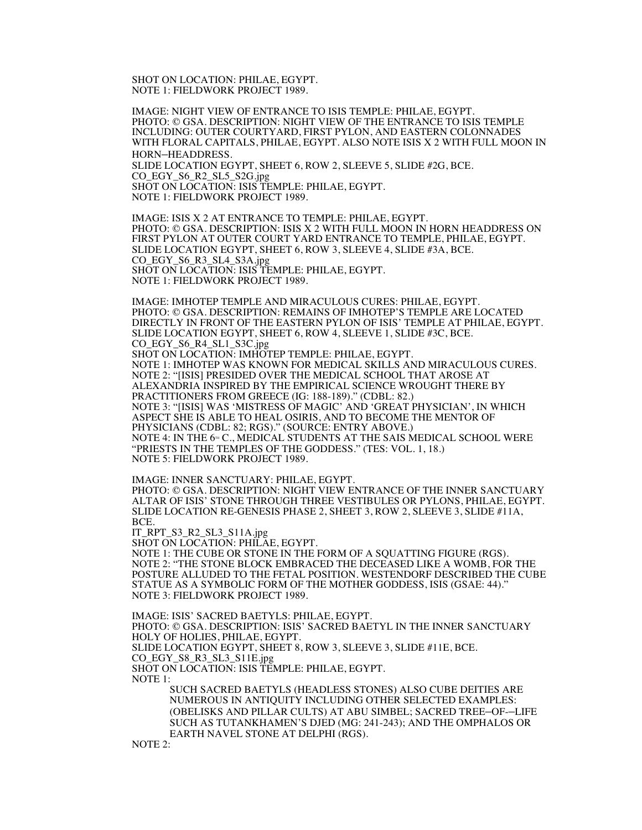SHOT ON LOCATION: PHILAE, EGYPT. NOTE 1: FIELDWORK PROJECT 1989.

IMAGE: NIGHT VIEW OF ENTRANCE TO ISIS TEMPLE: PHILAE, EGYPT. PHOTO: © GSA. DESCRIPTION: NIGHT VIEW OF THE ENTRANCE TO ISIS TEMPLE INCLUDING: OUTER COURTYARD, FIRST PYLON, AND EASTERN COLONNADES WITH FLORAL CAPITALS, PHILAE, EGYPT. ALSO NOTE ISIS X 2 WITH FULL MOON IN HORN–HEADDRESS. SLIDE LOCATION EGYPT, SHEET 6, ROW 2, SLEEVE 5, SLIDE #2G, BCE. CO\_EGY\_S6\_R2\_SL5\_S2G.jpg

SHOT ON LOCATION: ISIS TEMPLE: PHILAE, EGYPT. NOTE 1: FIELDWORK PROJECT 1989.

IMAGE: ISIS X 2 AT ENTRANCE TO TEMPLE: PHILAE, EGYPT. PHOTO: © GSA. DESCRIPTION: ISIS X 2 WITH FULL MOON IN HORN HEADDRESS ON FIRST PYLON AT OUTER COURT YARD ENTRANCE TO TEMPLE, PHILAE, EGYPT. SLIDE LOCATION EGYPT, SHEET 6, ROW 3, SLEEVE 4, SLIDE #3A, BCE. CO\_EGY\_S6\_R3\_SL4\_S3A.jpg SHOT ON LOCATION: ISIS TEMPLE: PHILAE, EGYPT. NOTE 1: FIELDWORK PROJECT 1989.

IMAGE: IMHOTEP TEMPLE AND MIRACULOUS CURES: PHILAE, EGYPT. PHOTO: © GSA. DESCRIPTION: REMAINS OF IMHOTEP'S TEMPLE ARE LOCATED DIRECTLY IN FRONT OF THE EASTERN PYLON OF ISIS' TEMPLE AT PHILAE, EGYPT. SLIDE LOCATION EGYPT, SHEET 6, ROW 4, SLEEVE 1, SLIDE #3C, BCE. CO\_EGY\_S6\_R4\_SL1\_S3C.jpg SHOT ON LOCATION: IMHOTEP TEMPLE: PHILAE, EGYPT. NOTE 1: IMHOTEP WAS KNOWN FOR MEDICAL SKILLS AND MIRACULOUS CURES. NOTE 2: "[ISIS] PRESIDED OVER THE MEDICAL SCHOOL THAT AROSE AT ALEXANDRIA INSPIRED BY THE EMPIRICAL SCIENCE WROUGHT THERE BY PRACTITIONERS FROM GREECE (IG: 188-189)." (CDBL: 82.) NOTE 3: "[ISIS] WAS 'MISTRESS OF MAGIC' AND 'GREAT PHYSICIAN', IN WHICH ASPECT SHE IS ABLE TO HEAL OSIRIS, AND TO BECOME THE MENTOR OF PHYSICIANS (CDBL: 82; RGS)." (SOURCE: ENTRY ABOVE.) NOTE 4: IN THE 6<sup>th</sup> C., MEDICAL STUDENTS AT THE SAIS MEDICAL SCHOOL WERE "PRIESTS IN THE TEMPLES OF THE GODDESS." (TES: VOL. 1, 18.) NOTE 5: FIELDWORK PROJECT 1989.

IMAGE: INNER SANCTUARY: PHILAE, EGYPT. PHOTO: © GSA. DESCRIPTION: NIGHT VIEW ENTRANCE OF THE INNER SANCTUARY ALTAR OF ISIS' STONE THROUGH THREE VESTIBULES OR PYLONS, PHILAE, EGYPT. SLIDE LOCATION RE-GENESIS PHASE 2, SHEET 3, ROW 2, SLEEVE 3, SLIDE #11A, BCE.

IT\_RPT\_S3\_R2\_SL3\_S11A.jpg

SHOT ON LOCATION: PHILAE, EGYPT.

NOTE 1: THE CUBE OR STONE IN THE FORM OF A SQUATTING FIGURE (RGS). NOTE 2: "THE STONE BLOCK EMBRACED THE DECEASED LIKE A WOMB, FOR THE POSTURE ALLUDED TO THE FETAL POSITION. WESTENDORF DESCRIBED THE CUBE STATUE AS A SYMBOLIC FORM OF THE MOTHER GODDESS, ISIS (GSAE: 44)." NOTE 3: FIELDWORK PROJECT 1989.

IMAGE: ISIS' SACRED BAETYLS: PHILAE, EGYPT. PHOTO: © GSA. DESCRIPTION: ISIS' SACRED BAETYL IN THE INNER SANCTUARY HOLY OF HOLIES, PHILAE, EGYPT. SLIDE LOCATION EGYPT, SHEET 8, ROW 3, SLEEVE 3, SLIDE #11E, BCE. CO\_EGY\_S8\_R3\_SL3\_S11E.jpg SHOT ON LOCATION: ISIS TEMPLE: PHILAE, EGYPT. NOTE 1: SUCH SACRED BAETYLS (HEADLESS STONES) ALSO CUBE DEITIES ARE

NUMEROUS IN ANTIQUITY INCLUDING OTHER SELECTED EXAMPLES: (OBELISKS AND PILLAR CULTS) AT ABU SIMBEL; SACRED TREE–OF-–LIFE SUCH AS TUTANKHAMEN'S DJED (MG: 241-243); AND THE OMPHALOS OR EARTH NAVEL STONE AT DELPHI (RGS).

NOTE 2: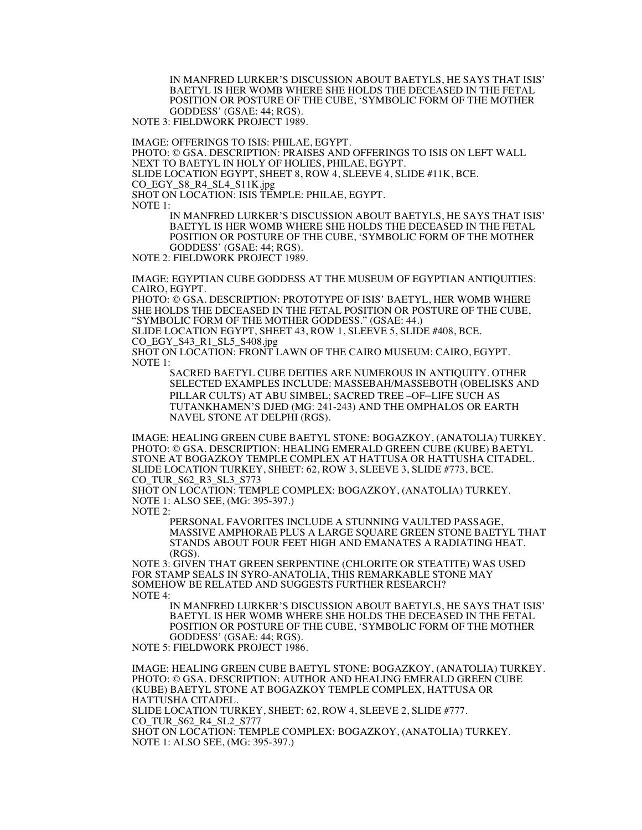IN MANFRED LURKER'S DISCUSSION ABOUT BAETYLS, HE SAYS THAT ISIS' BAETYL IS HER WOMB WHERE SHE HOLDS THE DECEASED IN THE FETAL POSITION OR POSTURE OF THE CUBE, 'SYMBOLIC FORM OF THE MOTHER GODDESS' (GSAE: 44; RGS).

NOTE 3: FIELDWORK PROJECT 1989.

IMAGE: OFFERINGS TO ISIS: PHILAE, EGYPT. PHOTO: © GSA. DESCRIPTION: PRAISES AND OFFERINGS TO ISIS ON LEFT WALL NEXT TO BAETYL IN HOLY OF HOLIES, PHILAE, EGYPT. SLIDE LOCATION EGYPT, SHEET 8, ROW 4, SLEEVE 4, SLIDE #11K, BCE. CO\_EGY\_S8\_R4\_SL4\_S11K.jpg SHOT ON LOCATION: ISIS TEMPLE: PHILAE, EGYPT. NOTE 1: IN MANFRED LURKER'S DISCUSSION ABOUT BAETYLS, HE SAYS THAT ISIS'

BAETYL IS HER WOMB WHERE SHE HOLDS THE DECEASED IN THE FETAL POSITION OR POSTURE OF THE CUBE, 'SYMBOLIC FORM OF THE MOTHER GODDESS' (GSAE: 44; RGS).

NOTE 2: FIELDWORK PROJECT 1989.

IMAGE: EGYPTIAN CUBE GODDESS AT THE MUSEUM OF EGYPTIAN ANTIQUITIES: CAIRO, EGYPT.

PHOTO: © GSA. DESCRIPTION: PROTOTYPE OF ISIS' BAETYL, HER WOMB WHERE SHE HOLDS THE DECEASED IN THE FETAL POSITION OR POSTURE OF THE CUBE, "SYMBOLIC FORM OF THE MOTHER GODDESS." (GSAE: 44.)

SLIDE LOCATION EGYPT, SHEET 43, ROW 1, SLEEVE 5, SLIDE #408, BCE. CO\_EGY\_S43\_R1\_SL5\_S408.jpg

SHOT ON LOCATION: FRONT LAWN OF THE CAIRO MUSEUM: CAIRO, EGYPT. NOTE 1:

SACRED BAETYL CUBE DEITIES ARE NUMEROUS IN ANTIQUITY. OTHER SELECTED EXAMPLES INCLUDE: MASSEBAH/MASSEBOTH (OBELISKS AND PILLAR CULTS) AT ABU SIMBEL; SACRED TREE –OF–LIFE SUCH AS TUTANKHAMEN'S DJED (MG: 241-243) AND THE OMPHALOS OR EARTH NAVEL STONE AT DELPHI (RGS).

IMAGE: HEALING GREEN CUBE BAETYL STONE: BOGAZKOY, (ANATOLIA) TURKEY. PHOTO: © GSA. DESCRIPTION: HEALING EMERALD GREEN CUBE (KUBE) BAETYL STONE AT BOGAZKOY TEMPLE COMPLEX AT HATTUSA OR HATTUSHA CITADEL. SLIDE LOCATION TURKEY, SHEET: 62, ROW 3, SLEEVE 3, SLIDE #773, BCE. CO\_TUR\_S62\_R3\_SL3\_S773

SHOT ON LOCATION: TEMPLE COMPLEX: BOGAZKOY, (ANATOLIA) TURKEY. NOTE 1: ALSO SEE, (MG: 395-397.)

NOTE 2:

PERSONAL FAVORITES INCLUDE A STUNNING VAULTED PASSAGE, MASSIVE AMPHORAE PLUS A LARGE SQUARE GREEN STONE BAETYL THAT STANDS ABOUT FOUR FEET HIGH AND EMANATES A RADIATING HEAT. (RGS).

NOTE 3: GIVEN THAT GREEN SERPENTINE (CHLORITE OR STEATITE) WAS USED FOR STAMP SEALS IN SYRO-ANATOLIA, THIS REMARKABLE STONE MAY SOMEHOW BE RELATED AND SUGGESTS FURTHER RESEARCH? NOTE 4:

IN MANFRED LURKER'S DISCUSSION ABOUT BAETYLS, HE SAYS THAT ISIS' BAETYL IS HER WOMB WHERE SHE HOLDS THE DECEASED IN THE FETAL POSITION OR POSTURE OF THE CUBE, 'SYMBOLIC FORM OF THE MOTHER GODDESS' (GSAE: 44; RGS).

NOTE 5: FIELDWORK PROJECT 1986.

IMAGE: HEALING GREEN CUBE BAETYL STONE: BOGAZKOY, (ANATOLIA) TURKEY. PHOTO: © GSA. DESCRIPTION: AUTHOR AND HEALING EMERALD GREEN CUBE (KUBE) BAETYL STONE AT BOGAZKOY TEMPLE COMPLEX, HATTUSA OR HATTUSHA CITADEL. SLIDE LOCATION TURKEY, SHEET: 62, ROW 4, SLEEVE 2, SLIDE #777.

CO\_TUR\_S62\_R4\_SL2\_S777

SHOT ON LOCATION: TEMPLE COMPLEX: BOGAZKOY, (ANATOLIA) TURKEY. NOTE 1: ALSO SEE, (MG: 395-397.)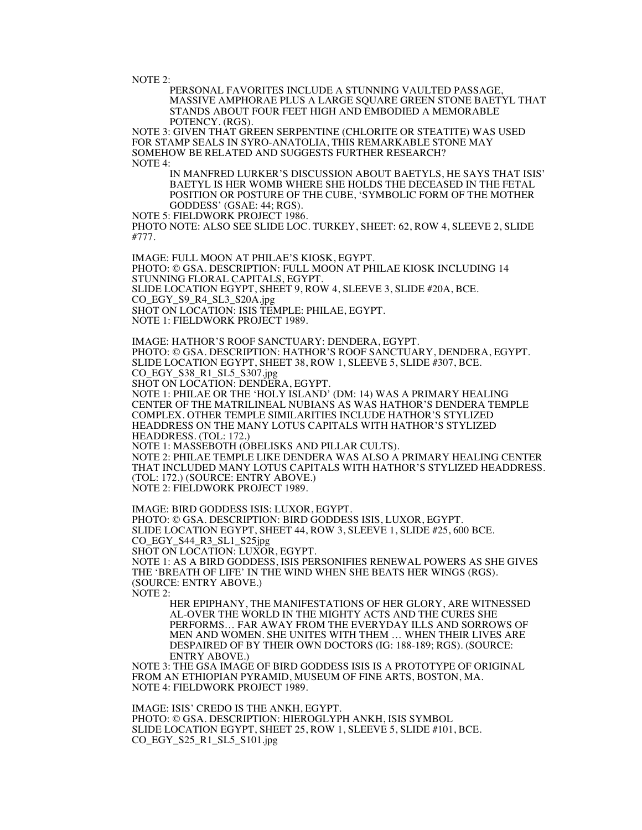NOTE 2:

PERSONAL FAVORITES INCLUDE A STUNNING VAULTED PASSAGE, MASSIVE AMPHORAE PLUS A LARGE SQUARE GREEN STONE BAETYL THAT STANDS ABOUT FOUR FEET HIGH AND EMBODIED A MEMORABLE POTENCY. (RGS).

NOTE 3: GIVEN THAT GREEN SERPENTINE (CHLORITE OR STEATITE) WAS USED FOR STAMP SEALS IN SYRO-ANATOLIA, THIS REMARKABLE STONE MAY SOMEHOW BE RELATED AND SUGGESTS FURTHER RESEARCH? NOTE 4:

IN MANFRED LURKER'S DISCUSSION ABOUT BAETYLS, HE SAYS THAT ISIS' BAETYL IS HER WOMB WHERE SHE HOLDS THE DECEASED IN THE FETAL POSITION OR POSTURE OF THE CUBE, 'SYMBOLIC FORM OF THE MOTHER GODDESS' (GSAE: 44; RGS).

NOTE 5: FIELDWORK PROJECT 1986.

PHOTO NOTE: ALSO SEE SLIDE LOC. TURKEY, SHEET: 62, ROW 4, SLEEVE 2, SLIDE #777.

IMAGE: FULL MOON AT PHILAE'S KIOSK, EGYPT. PHOTO: © GSA. DESCRIPTION: FULL MOON AT PHILAE KIOSK INCLUDING 14 STUNNING FLORAL CAPITALS, EGYPT. SLIDE LOCATION EGYPT, SHEET 9, ROW 4, SLEEVE 3, SLIDE #20A, BCE. CO\_EGY\_S9\_R4\_SL3\_S20A.jpg SHOT ON LOCATION: ISIS TEMPLE: PHILAE, EGYPT. NOTE 1: FIELDWORK PROJECT 1989.

IMAGE: HATHOR'S ROOF SANCTUARY: DENDERA, EGYPT. PHOTO: © GSA. DESCRIPTION: HATHOR'S ROOF SANCTUARY, DENDERA, EGYPT. SLIDE LOCATION EGYPT, SHEET 38, ROW 1, SLEEVE 5, SLIDE #307, BCE. CO\_EGY\_S38\_R1\_SL5\_S307.jpg SHOT ON LOCATION: DENDERA, EGYPT.

NOTE 1: PHILAE OR THE 'HOLY ISLAND' (DM: 14) WAS A PRIMARY HEALING CENTER OF THE MATRILINEAL NUBIANS AS WAS HATHOR'S DENDERA TEMPLE COMPLEX. OTHER TEMPLE SIMILARITIES INCLUDE HATHOR'S STYLIZED HEADDRESS ON THE MANY LOTUS CAPITALS WITH HATHOR'S STYLIZED HEADDRESS. (TOL: 172.)

NOTE 1: MASSEBOTH (OBELISKS AND PILLAR CULTS). NOTE 2: PHILAE TEMPLE LIKE DENDERA WAS ALSO A PRIMARY HEALING CENTER THAT INCLUDED MANY LOTUS CAPITALS WITH HATHOR'S STYLIZED HEADDRESS. (TOL: 172.) (SOURCE: ENTRY ABOVE.) NOTE 2: FIELDWORK PROJECT 1989.

IMAGE: BIRD GODDESS ISIS: LUXOR, EGYPT. PHOTO: © GSA. DESCRIPTION: BIRD GODDESS ISIS, LUXOR, EGYPT. SLIDE LOCATION EGYPT, SHEET 44, ROW 3, SLEEVE 1, SLIDE #25, 600 BCE. CO\_EGY\_S44\_R3\_SL1\_S25jpg SHOT ON LOCATION: LUXOR, EGYPT. NOTE 1: AS A BIRD GODDESS, ISIS PERSONIFIES RENEWAL POWERS AS SHE GIVES THE 'BREATH OF LIFE' IN THE WIND WHEN SHE BEATS HER WINGS (RGS). (SOURCE: ENTRY ABOVE.) NOTE 2:

HER EPIPHANY, THE MANIFESTATIONS OF HER GLORY, ARE WITNESSED AL-OVER THE WORLD IN THE MIGHTY ACTS AND THE CURES SHE PERFORMS… FAR AWAY FROM THE EVERYDAY ILLS AND SORROWS OF MEN AND WOMEN. SHE UNITES WITH THEM … WHEN THEIR LIVES ARE DESPAIRED OF BY THEIR OWN DOCTORS (IG: 188-189; RGS). (SOURCE: ENTRY ABOVE.)

NOTE 3: THE GSA IMAGE OF BIRD GODDESS ISIS IS A PROTOTYPE OF ORIGINAL FROM AN ETHIOPIAN PYRAMID, MUSEUM OF FINE ARTS, BOSTON, MA. NOTE 4: FIELDWORK PROJECT 1989.

IMAGE: ISIS' CREDO IS THE ANKH, EGYPT. PHOTO: © GSA. DESCRIPTION: HIEROGLYPH ANKH, ISIS SYMBOL SLIDE LOCATION EGYPT, SHEET 25, ROW 1, SLEEVE 5, SLIDE #101, BCE. CO\_EGY\_S25\_R1\_SL5\_S101.jpg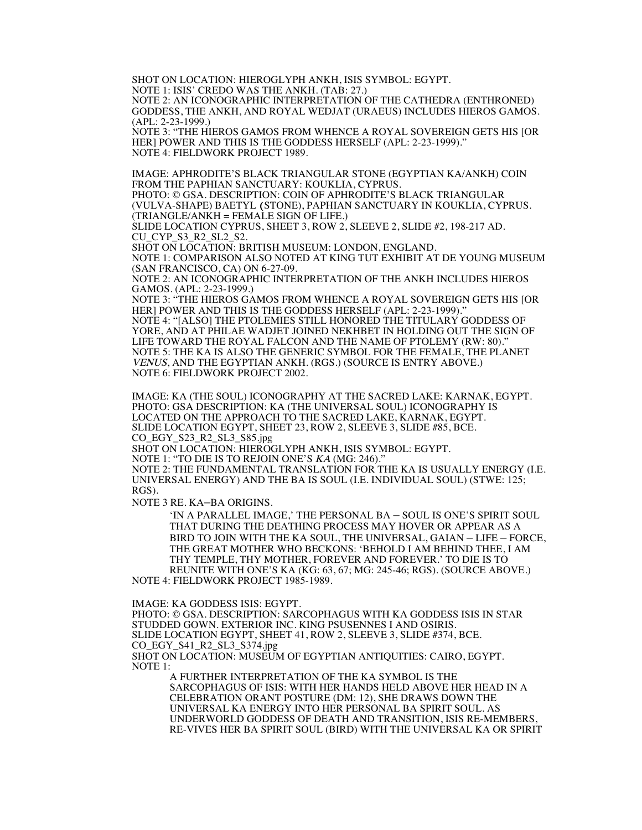SHOT ON LOCATION: HIEROGLYPH ANKH, ISIS SYMBOL: EGYPT. NOTE 1: ISIS' CREDO WAS THE ANKH. (TAB: 27.)

NOTE 2: AN ICONOGRAPHIC INTERPRETATION OF THE CATHEDRA (ENTHRONED) GODDESS, THE ANKH, AND ROYAL WEDJAT (URAEUS) INCLUDES HIEROS GAMOS. (APL: 2-23-1999.)

NOTE 3: "THE HIEROS GAMOS FROM WHENCE A ROYAL SOVEREIGN GETS HIS [OR HER] POWER AND THIS IS THE GODDESS HERSELF (APL: 2-23-1999)." NOTE 4: FIELDWORK PROJECT 1989.

IMAGE: APHRODITE'S BLACK TRIANGULAR STONE (EGYPTIAN KA/ANKH) COIN FROM THE PAPHIAN SANCTUARY: KOUKLIA, CYPRUS.

PHOTO: © GSA. DESCRIPTION: COIN OF APHRODITE'S BLACK TRIANGULAR (VULVA-SHAPE) BAETYL (STONE), PAPHIAN SANCTUARY IN KOUKLIA, CYPRUS. (TRIANGLE/ANKH = FEMALE SIGN OF LIFE.)

SLIDE LOCATION CYPRUS, SHEET 3, ROW 2, SLEEVE 2, SLIDE #2, 198-217 AD. CU CYP S3 R2 SL2 S2.

SHOT ON LOCATION: BRITISH MUSEUM: LONDON, ENGLAND.

NOTE 1: COMPARISON ALSO NOTED AT KING TUT EXHIBIT AT DE YOUNG MUSEUM (SAN FRANCISCO, CA) ON 6-27-09.

NOTE 2: AN ICONOGRAPHIC INTERPRETATION OF THE ANKH INCLUDES HIEROS GAMOS. (APL: 2-23-1999.)

NOTE 3: "THE HIEROS GAMOS FROM WHENCE A ROYAL SOVEREIGN GETS HIS [OR HER] POWER AND THIS IS THE GODDESS HERSELF (APL: 2-23-1999).' NOTE 4: "[ALSO] THE PTOLEMIES STILL HONORED THE TITULARY GODDESS OF YORE, AND AT PHILAE WADJET JOINED NEKHBET IN HOLDING OUT THE SIGN OF LIFE TOWARD THE ROYAL FALCON AND THE NAME OF PTOLEMY (RW: 80)." NOTE 5: THE KA IS ALSO THE GENERIC SYMBOL FOR THE FEMALE, THE PLANET VENUS, AND THE EGYPTIAN ANKH. (RGS.) (SOURCE IS ENTRY ABOVE.) NOTE 6: FIELDWORK PROJECT 2002.

 IMAGE: KA (THE SOUL) ICONOGRAPHY AT THE SACRED LAKE: KARNAK, EGYPT. PHOTO: GSA DESCRIPTION: KA (THE UNIVERSAL SOUL) ICONOGRAPHY IS LOCATED ON THE APPROACH TO THE SACRED LAKE, KARNAK, EGYPT. SLIDE LOCATION EGYPT, SHEET 23, ROW 2, SLEEVE 3, SLIDE #85, BCE. CO\_EGY\_S23\_R2\_SL3\_S85.jpg

SHOT ON LOCATION: HIEROGLYPH ANKH, ISIS SYMBOL: EGYPT.

NOTE 1: "TO DIE IS TO REJOIN ONE'S KA (MG: 246)."

NOTE 2: THE FUNDAMENTAL TRANSLATION FOR THE KA IS USUALLY ENERGY (I.E. UNIVERSAL ENERGY) AND THE BA IS SOUL (I.E. INDIVIDUAL SOUL) (STWE: 125; RGS).

NOTE 3 RE. KA–BA ORIGINS.

'IN A PARALLEL IMAGE,' THE PERSONAL BA – SOUL IS ONE'S SPIRIT SOUL THAT DURING THE DEATHING PROCESS MAY HOVER OR APPEAR AS A BIRD TO JOIN WITH THE KA SOUL, THE UNIVERSAL, GAIAN – LIFE – FORCE, THE GREAT MOTHER WHO BECKONS: 'BEHOLD I AM BEHIND THEE, I AM THY TEMPLE, THY MOTHER, FOREVER AND FOREVER.' TO DIE IS TO REUNITE WITH ONE'S KA (KG: 63, 67; MG: 245-46; RGS). (SOURCE ABOVE.) NOTE 4: FIELDWORK PROJECT 1985-1989.

IMAGE: KA GODDESS ISIS: EGYPT.

PHOTO: © GSA. DESCRIPTION: SARCOPHAGUS WITH KA GODDESS ISIS IN STAR STUDDED GOWN. EXTERIOR INC. KING PSUSENNES I AND OSIRIS. SLIDE LOCATION EGYPT, SHEET 41, ROW 2, SLEEVE 3, SLIDE #374, BCE. CO\_EGY\_S41\_R2\_SL3\_S374.jpg SHOT ON LOCATION: MUSEUM OF EGYPTIAN ANTIQUITIES: CAIRO, EGYPT. NOTE 1:

A FURTHER INTERPRETATION OF THE KA SYMBOL IS THE SARCOPHAGUS OF ISIS: WITH HER HANDS HELD ABOVE HER HEAD IN A CELEBRATION ORANT POSTURE (DM: 12), SHE DRAWS DOWN THE UNIVERSAL KA ENERGY INTO HER PERSONAL BA SPIRIT SOUL. AS UNDERWORLD GODDESS OF DEATH AND TRANSITION, ISIS RE-MEMBERS, RE-VIVES HER BA SPIRIT SOUL (BIRD) WITH THE UNIVERSAL KA OR SPIRIT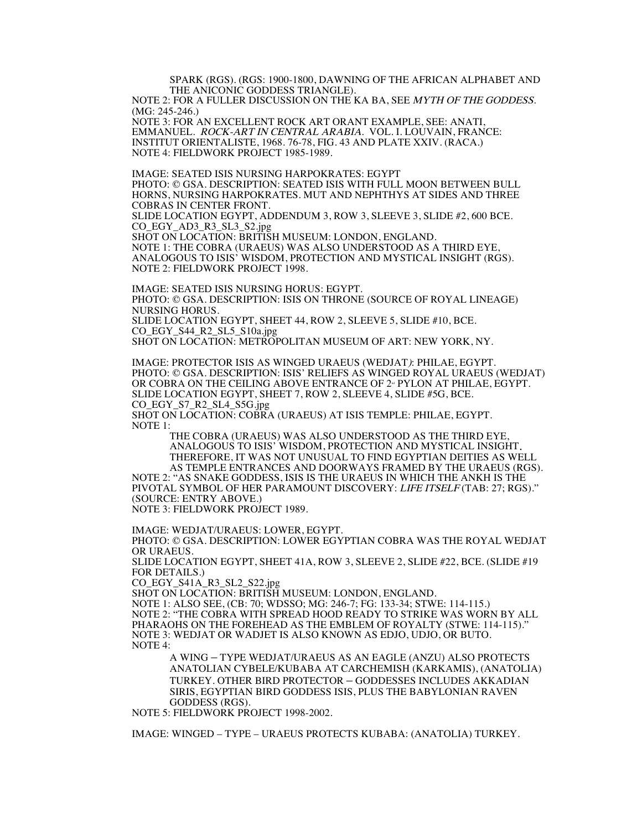SPARK (RGS). (RGS: 1900-1800, DAWNING OF THE AFRICAN ALPHABET AND THE ANICONIC GODDESS TRIANGLE).

NOTE 2: FOR A FULLER DISCUSSION ON THE KA BA, SEE MYTH OF THE GODDESS. (MG: 245-246.)

NOTE 3: FOR AN EXCELLENT ROCK ART ORANT EXAMPLE, SEE: ANATI, EMMANUEL. ROCK-ART IN CENTRAL ARABIA. VOL. I. LOUVAIN, FRANCE: INSTITUT ORIENTALISTE, 1968. 76-78, FIG. 43 AND PLATE XXIV. (RACA.) NOTE 4: FIELDWORK PROJECT 1985-1989.

IMAGE: SEATED ISIS NURSING HARPOKRATES: EGYPT PHOTO: © GSA. DESCRIPTION: SEATED ISIS WITH FULL MOON BETWEEN BULL HORNS, NURSING HARPOKRATES. MUT AND NEPHTHYS AT SIDES AND THREE COBRAS IN CENTER FRONT. SLIDE LOCATION EGYPT, ADDENDUM 3, ROW 3, SLEEVE 3, SLIDE #2, 600 BCE. CO\_EGY\_AD3\_R3\_SL3\_S2.jpg SHOT ON LOCATION: BRITISH MUSEUM: LONDON, ENGLAND. NOTE 1: THE COBRA (URAEUS) WAS ALSO UNDERSTOOD AS A THIRD EYE, ANALOGOUS TO ISIS' WISDOM, PROTECTION AND MYSTICAL INSIGHT (RGS). NOTE 2: FIELDWORK PROJECT 1998.

IMAGE: SEATED ISIS NURSING HORUS: EGYPT. PHOTO: © GSA. DESCRIPTION: ISIS ON THRONE (SOURCE OF ROYAL LINEAGE) NURSING HORUS. SLIDE LOCATION EGYPT, SHEET 44, ROW 2, SLEEVE 5, SLIDE #10, BCE. CO\_EGY\_S44\_R2\_SL5\_S10a.jpg SHOT ON LOCATION: METROPOLITAN MUSEUM OF ART: NEW YORK, NY.

IMAGE: PROTECTOR ISIS AS WINGED URAEUS (WEDJAT): PHILAE, EGYPT. PHOTO: © GSA. DESCRIPTION: ISIS' RELIEFS AS WINGED ROYAL URAEUS (WEDJAT) OR COBRA ON THE CEILING ABOVE ENTRANCE OF 2<sup>nd</sup> PYLON AT PHILAE, EGYPT. SLIDE LOCATION EGYPT, SHEET 7, ROW 2, SLEEVE 4, SLIDE #5G, BCE. CO\_EGY\_S7\_R2\_SL4\_S5G.jpg

SHOT ON LOCATION: COBRA (URAEUS) AT ISIS TEMPLE: PHILAE, EGYPT. NOTE 1:

THE COBRA (URAEUS) WAS ALSO UNDERSTOOD AS THE THIRD EYE, ANALOGOUS TO ISIS' WISDOM, PROTECTION AND MYSTICAL INSIGHT. THEREFORE, IT WAS NOT UNUSUAL TO FIND EGYPTIAN DEITIES AS WELL AS TEMPLE ENTRANCES AND DOORWAYS FRAMED BY THE URAEUS (RGS).

NOTE 2: "AS SNAKE GODDESS, ISIS IS THE URAEUS IN WHICH THE ANKH IS THE PIVOTAL SYMBOL OF HER PARAMOUNT DISCOVERY: LIFE ITSELF (TAB: 27; RGS)." (SOURCE: ENTRY ABOVE.) NOTE 3: FIELDWORK PROJECT 1989.

IMAGE: WEDJAT/URAEUS: LOWER, EGYPT.

PHOTO: © GSA. DESCRIPTION: LOWER EGYPTIAN COBRA WAS THE ROYAL WEDJAT OR URAEUS.

SLIDE LOCATION EGYPT, SHEET 41A, ROW 3, SLEEVE 2, SLIDE #22, BCE. (SLIDE #19 FOR DETAILS.)

CO\_EGY\_S41A\_R3\_SL2\_S22.jpg

SHOT ON LOCATION: BRITISH MUSEUM: LONDON, ENGLAND.

NOTE 1: ALSO SEE, (CB: 70; WDSSO; MG: 246-7; FG: 133-34; STWE: 114-115.) NOTE 2: "THE COBRA WITH SPREAD HOOD READY TO STRIKE WAS WORN BY ALL PHARAOHS ON THE FOREHEAD AS THE EMBLEM OF ROYALTY (STWE: 114-115)." NOTE 3: WEDJAT OR WADJET IS ALSO KNOWN AS EDJO, UDJO, OR BUTO. NOTE 4:

A WING – TYPE WEDJAT/URAEUS AS AN EAGLE (ANZU) ALSO PROTECTS ANATOLIAN CYBELE/KUBABA AT CARCHEMISH (KARKAMIS), (ANATOLIA) TURKEY. OTHER BIRD PROTECTOR – GODDESSES INCLUDES AKKADIAN SIRIS, EGYPTIAN BIRD GODDESS ISIS, PLUS THE BABYLONIAN RAVEN GODDESS (RGS).

NOTE 5: FIELDWORK PROJECT 1998-2002.

IMAGE: WINGED – TYPE – URAEUS PROTECTS KUBABA: (ANATOLIA) TURKEY.